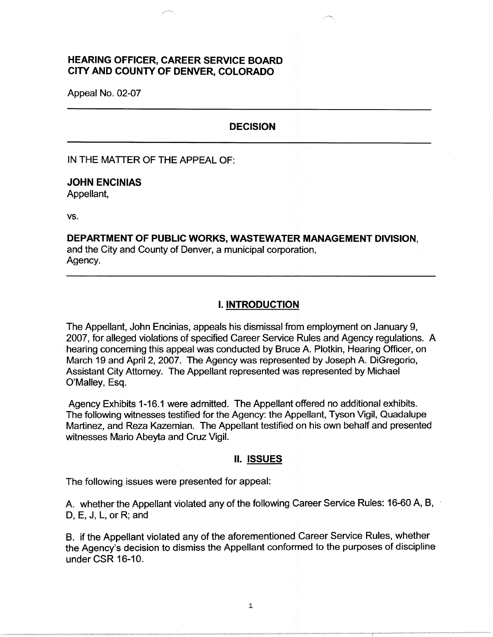# **HEARING OFFICER, CAREER SERVICE BOARD CITY AND COUNTY OF DENVER, COLORADO**

Appeal No. 02-07

#### **DECISION**

IN THE MATTER OF THE APPEAL OF:

## **JOHN ENCINIAS**

Appellant,

vs.

# **DEPARTMENT OF PUBLIC WORKS, WASTEWATER MANAGEMENT DIVISION,**  and the City and County of Denver, a municipal corporation, Agency.

## I. **INTRODUCTION**

The Appellant, John Encinias, appeals his dismissal from employment on January 9, 2007, for alleged violations of specified Career Service Rules and Agency regulations. A hearing concerning this appeal was conducted by Bruce A. Plotkin, Hearing Officer, on March 19 and April 2, 2007. The Agency was represented by Joseph A. DiGregorio, Assistant City Attorney. The Appellant represented was represented by Michael O'Malley, Esq.

Agency Exhibits 1-16.1 were admitted. The Appellant offered no additional exhibits. The following witnesses testified for the Agency: the Appellant, Tyson Vigil, Quadalupe Martinez, and Reza Kazemian. The Appellant testified on his own behalf and presented witnesses Mario Abeyta and Cruz Vigil.

#### II. **ISSUES**

The following issues were presented for appeal:

A. whether the Appellant violated any of the following Career Service Rules: 16-60 A, B, D, E, J, L, or R; and

B. if the Appellant violated any of the aforementioned Career Service Rules, whether the Agency's decision to dismiss the Appellant conformed to the purposes of discipline under CSR 16-10.

1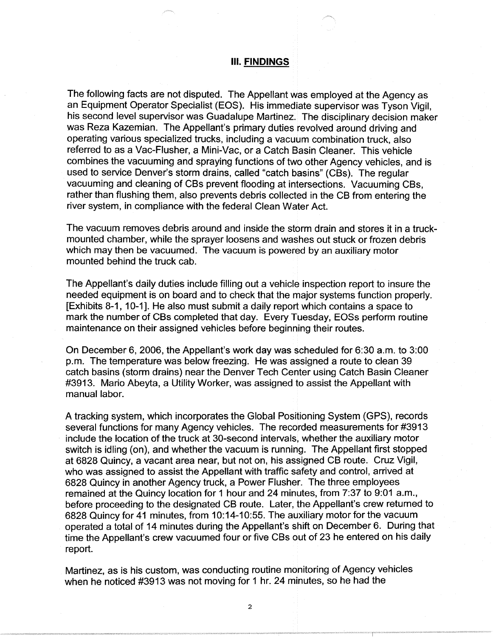#### Ill. **FINDINGS**

The following facts are not disputed. The Appellant was employed at the Agency as an Equipment Operator Specialist (EOS). His immediate supervisor was Tyson Vigil, his second level supervisor was Guadalupe Martinez. The disciplinary decision maker was Reza Kazemian. The Appellant's primary duties revolved around driving and operating various specialized trucks, including a vacuum combination truck, also referred to as a Vac-Flusher, a Mini-Vac, or a Catch Basin Cleaner. This vehicle combines the vacuuming and spraying functions of two other Agency vehicles, and is used to service Denver's storm drains, called "catch basins" (CBs). The regular vacuuming and cleaning of CBs prevent flooding at intersections. Vacuuming CBs, rather than flushing them, also prevents debris collected in the CB from entering the river system, in compliance with the federal Clean Water Act.

The vacuum removes debris around and inside the storm drain and stores it in a truckmounted chamber, while the sprayer loosens and washes out stuck or frozen debris which may then be vacuumed. The vacuum is powered by an auxiliary motor mounted behind the truck cab.

The Appellant's daily duties include filling out a vehicle inspection report to insure the needed equipment is on board and to check that the major systems function properly. [Exhibits 8-1, 10-1 ]. He also must submit a daily report which contains a space to mark the number of CBs completed that day. Every Tuesday, EOSs perform routine maintenance on their assigned vehicles before beginning their routes.

On December 6, 2006, the Appellant's work day was scheduled for 6:30 a.m. to 3:00 p.m. The temperature was below freezing. He was assigned a route to clean 39 catch basins (storm drains) near the Denver Tech Center using Catch Basin Cleaner #3913. Mario Abeyta, a Utility Worker, was assigned to assist the Appellant with manual labor.

A tracking system, which incorporates the Global Positioning System (GPS), records several functions for many Agency vehicles. The recorded measurements for #3913 include the location of the truck at 30-second intervals, whether the auxiliary motor switch is idling (on), and whether the vacuum is running. The Appellant first stopped at 6828 Quincy, a vacant area near, but not on, his assigned CB route. Cruz Vigil, who was assigned to assist the Appellant with traffic safety and control, arrived at 6828 Quincy in another Agency truck, a Power Flusher. The three employees remained at the Quincy location for 1 hour and 24 minutes, from 7:37 to 9:01 a.m., before proceeding to the designated CB route. Later, the Appellant's crew returned to 6828 Quincy for 41 minutes, from 10:14-10:55. The auxiliary motor for the vacuum operated a total of 14 minutes during the Appellant's shift on December 6. During that time the Appellant's crew vacuumed four or five CBs out of 23 he entered on his daily report.

Martinez, as is his custom, was conducting routine monitoring of Agency vehicles when he noticed #3913 was not moving for 1 hr. 24 minutes, so he had the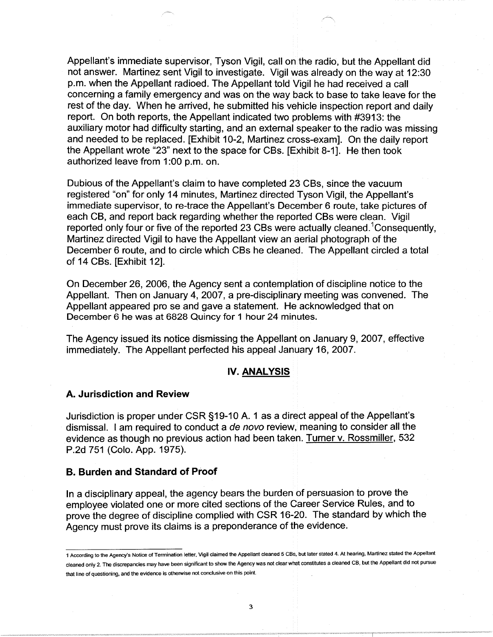Appellant's immediate supervisor, Tyson Vigil, call on the radio, but the Appellant did not answer. Martinez sent Vigil to investigate. Vigil was already on the way at 12:30 p.m. when the Appellant radioed. The Appellant told Vigil he had received a call concerning a family emergency and was on the way back to base to take leave for the rest of the day. When he arrived, he submitted his vehicle inspection report and daily report. On both reports, the Appellant indicated two problems with #3913: the auxiliary motor had difficulty starting, and an external speaker to the radio was missing and needed to be replaced. [Exhibit 10-2, Martinez cross-exam]. On the daily report the Appellant wrote "23" next to the space for CBs. [Exhibit 8-1]. He then took authorized leave from 1 :00 p.m. on.

Dubious of the Appellant's claim to have completed 23 CBs, since the vacuum registered "on" for only 14 minutes, Martinez directed Tyson Vigil, the Appellant's immediate supervisor, to re-trace the Appellant's December 6 route, take pictures of each CB, and report back regarding whether the reported CBs were clean. Vigil reported only four or five of the reported 23 CBs were actually cleaned.<sup>1</sup>Consequently, Martinez directed Vigil to have the Appellant view an aerial photograph of the December 6 route, and to circle which CBs he cleaned. The Appellant circled a total of 14 CBs. [Exhibit 12].

On December 26, 2006, the Agency sent a contemplation of discipline notice to the Appellant. Then on January 4, 2007, a pre-disciplinary meeting was convened. The Appellant appeared pro se and gave a statement. He acknowledged that on December 6 he was at 6828 Quincy for 1 hour 24 minutes.

The Agency issued its notice dismissing the Appellant on January 9, 2007, effective immediately. The Appellant perfected his appeal January 16, 2007.

## **IV. ANALYSIS**

#### **A. Jurisdiction and Review**

Jurisdiction is proper under CSR §19-10 A. 1 as a direct appeal of the Appellant's dismissal. I am required to conduct a de novo review, meaning to consider all the evidence as though no previous action had been taken. Turner v. Rossmiller, 532 P.2d 751 (Colo. App. 1975).

#### **B. Burden and Standard of Proof**

In a disciplinary appeal, the agency bears the burden of persuasion to prove the employee violated one or more cited sections of the Career Service Rules, and to prove the degree of discipline complied with CSR 16-20. The standard by which the Agency must prove its claims is a preponderance of the evidence.

<sup>1</sup> According to the Agency's Notice of Termination letter, Vigil claimed the Appellant cleaned 5 CBs, but later stated 4. At hearing, Martinez stated the Appellant cleaned only 2. The discrepancies may have been significant to show the Agency was not clear what constitutes a cleaned CB, but the Appellant did not pursue that line of questioning, and the evidence is otherwise not conclusive on this point.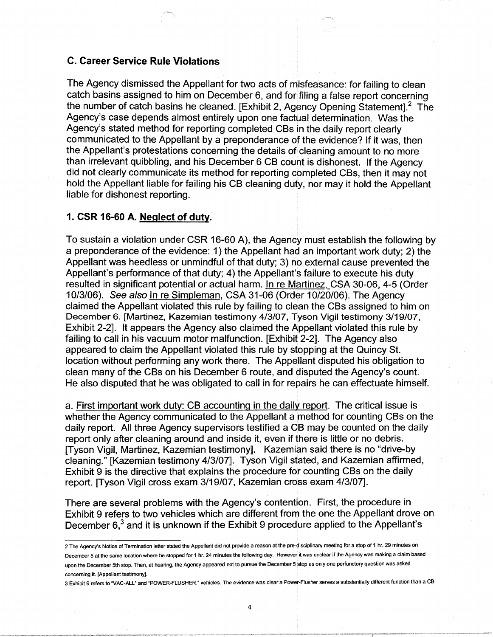# **C. Career Service Rule Violations**

The Agency dismissed the Appellant for two acts of misfeasance: for failing to clean catch basins assigned to him on December 6, and for filing a false report concerning the number of catch basins he cleaned. [Exhibit 2, Agency Opening Statement].<sup>2</sup> The Agency's case depends almost entirely upon one factual determination. Was the Agency's stated method for reporting completed CBs in the daily report clearly communicated to the Appellant by a preponderance of the evidence? If it was, then the Appellant's protestations concerning the details of cleaning amount to no more than irrelevant quibbling, and his December 6 CB count is dishonest. If the Agency did not clearly communicate its method for reporting completed CBs, then it may not hold the Appellant liable for failing his CB cleaning duty, nor may it hold the Appellant liable for dishonest reporting.

## **1. CSR 16-60 A. Neglect of duty.**

To sustain a violation under CSR 16-60 A), the Agency must establish the following by a preponderance of the evidence: 1) the Appellant had an important work duty; 2) the Appellant was heedless or unmindful of that duty; 3) no external cause prevented the Appellant's performance of that duty; 4) the Appellant's failure to execute his duty resulted in significant potential or actual harm. In re Martinez,\_CSA 30-06, 4-5 (Order 10/3/06). See also In re Simpleman, CSA 31-06 (Order 10/20/06). The Agency claimed the Appellant violated this rule by failing to clean the CBs assigned to him on December 6. [Martinez, Kazemian testimony 4/3/07, Tyson Vigil testimony 3/19/07, Exhibit 2-2]. It appears the Agency also claimed the Appellant violated this rule by failing to call in his vacuum motor malfunction. [Exhibit 2-2]. The Agency also appeared to claim the Appellant violated this rule by stopping at the Quincy St. location without performing any work there. The Appellant disputed his obligation to clean many of the CBs on his December 6 route, and disputed the Agency's count. He also disputed that he was obligated to call in for repairs he can effectuate himself.

a. First important work duty: CB accounting in the daily report. The critical issue is whether the Agency communicated to the Appellant a method for counting CBs on the daily report. All three Agency supervisors testified a CB may be counted on the daily report only after cleaning around and inside it, even if there is little or no debris. [Tyson Vigil, Martinez, Kazemian testimony]. Kazemian said there is no "drive-by cleaning." [Kazemian testimony 4/3/07]. Tyson Vigil stated, and Kazemian affirmed, Exhibit 9 is the directive that explains the procedure for counting CBs on the daily report. [Tyson Vigil cross exam 3/19/07, Kazemian cross exam 4/3/07].

There are several problems with the Agency's contention. First, the procedure in Exhibit 9 refers to two vehicles which are different from the one the Appellant drove on December  $6<sup>3</sup>$  and it is unknown if the Exhibit 9 procedure applied to the Appellant's

3 Exhibit g refers to "VAC-ALL" and "POWER-FLUSHER." vehicles. The evidence was clear a Power-Flusher serves a substantially different function than a CB

<sup>2</sup> The Agency's Notice of Termination letter stated the Appellant did not provide a reason at the pre-disciplinary meeting for a stop of 1 hr. 29 minutes on December 5 at the same location where he stopped for 1 hr. 24 minutes the following day. However it was unclear if the Agency was making a claim based upon the December 5th stop. Then, at hearing, the Agency appeared not to pursue the December 5 stop as only one perfunctory question was asked concerning it. [Appellant testimony].

<sup>4</sup>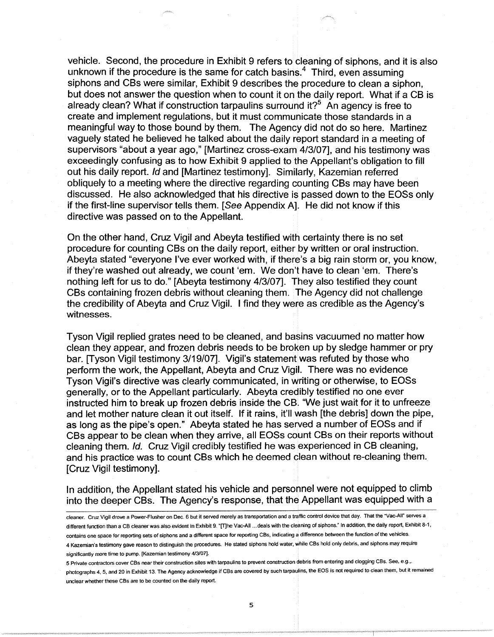vehicle. Second, the procedure in Exhibit 9 refers to cleaning of siphons, and it is also unknown if the procedure is the same for catch basins. $4$  Third, even assuming siphons and CBs were similar, Exhibit 9 describes the procedure to clean a siphon, but does not answer the question when to count it on the daily report. What if a CB is already clean? What if construction tarpaulins surround it?<sup>5</sup> An agency is free to create and implement regulations, but it must communicate those standards in a meaningful way to those bound by them. The Agency did not do so here. Martinez vaguely stated he believed he talked about the daily report standard in a meeting of supervisors "about a year ago," [Martinez cross-exam 4/3/07], and his testimony was exceedingly confusing as to how Exhibit 9 applied to the Appellant's obligation to fill out his daily report. Id and [Martinez testimony]. Similarly, Kazemian referred obliquely to a meeting where the directive regarding counting CBs may have been discussed. He also acknowledged that his directive is passed down to the EOSs only if the first-line supervisor tells them. [See Appendix A]. He did not know if this directive was passed on to the Appellant.

On the other hand, Cruz Vigil and Abeyta testified with certainty there is no set procedure for counting CBs on the daily report, either by written or oral instruction. Abeyta stated "everyone I've ever worked with, if there's a big rain storm or, you know, if they're washed out already, we count 'em. We don't have to clean 'em. There's nothing left for us to do." [Abeyta testimony 4/3/07]. They also testified they count CBs containing frozen debris without cleaning them. The Agency did not challenge the credibility of Abeyta and Cruz Vigil. I find they were as credible as the Agency's witnesses.

Tyson Vigil replied grates need to be cleaned, and basins vacuumed no matter how clean they appear, and frozen debris needs to be broken up by sledge hammer or pry bar. [Tyson Vigil testimony 3/19/07]. Vigil's statement was refuted by those who perform the work, the Appellant, Abeyta and Cruz Vigil. There was no evidence Tyson Vigil's directive was clearly communicated, in writing or otherwise, to EOSs generally, or to the Appellant particularly. Abeyta credibly testified no one ever instructed him to break up frozen debris inside the CB. "We just wait for it to unfreeze and let mother nature clean it out itself. If it rains, it'll wash [the debris] down the pipe, as long as the pipe's open." Abeyta stated he has served a number of EOSs and if CBs appear to be clean when they arrive, all EOSs count CBs on their reports without cleaning them. Id. Cruz Vigil credibly testified he was experienced in CB cleaning, and his practice was to count CBs which he deemed clean without re-cleaning them. [Cruz Vigil testimony].

In addition, the Appellant stated his vehicle and personnel were not equipped to climb into the deeper CBs. The Agency's response, that the Appellant was equipped with a

cleaner. Cruz Vigil drove a Power-Flusher on Dec. 6 but it served merely as transportation and a traffic control device that day. That the ·vac-AII" serves a different function than a CB cleaner was also evident in Exhibit 9. "[T]he Vac-AII ... deals with the cleaning of siphons." In addition, the daily report, Exhibit 8-1, contains one space for reporting sets of siphons and a different space for reporting CBs, indicating a difference between the function of the vehicles. 4 Kazemian's testimony gave reason to distinguish the procedures. He stated siphons hold water, while CBs hold only debris, and siphons may require significantly more time to pump. [Kazemian testimony 4/3/07).

<sup>5</sup> Private contractors cover CBs near their construction sites with tarpaulins to prevent construction debris from entering and clogging CBs. See, e.g.,. photographs 4, 5, and 20 in Exhibit 13. The Agency acknowledge if CBs are covered by such tarpaulins, the EOS is not required to clean them, but it remained unclear whether these CBs are to be counted on the daily report.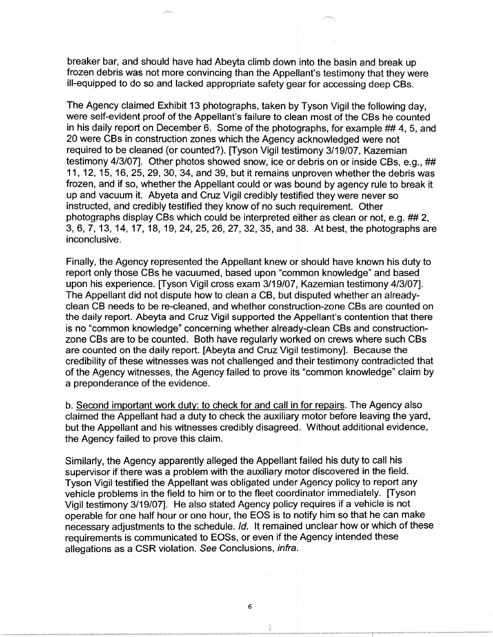breaker bar, and should have had Abeyta climb down into the basin and break up frozen debris was not more convincing than the Appellant's testimony that they were ill-equipped to do so and lacked appropriate safety gear for accessing deep CBs.

The Agency claimed Exhibit 13 photographs, taken by Tyson Vigil the following day, were self-evident proof of the Appellant's failure to clean most of the CBs he counted in his daily report on December 6. Some of the photographs, for example ## 4, 5, and 20 were CBs in construction zones which the Agency acknowledged were not required to be cleaned (or counted?). [Tyson Vigil testimony 3/19/07, Kazemian testimony 4/3/07]. Other photos showed snow, ice or debris on or inside CBs, e.g., ## 11, 12, 15, 16, 25, 29, 30, 34, and 39, but it remains unproven whether the debris was frozen, and if so, whether the Appellant could or was bound by agency rule to break it up and vacuum it. Abyeta and Cruz Vigil credibly testified they were never so instructed, and credibly testified they know of no such requirement. Other photographs display CBs which could be interpreted either as clean or not, e.g. ## 2, 3, 6, 7, 13, 14, 17, 18, 19, 24, 25, 26, 27, 32, 35, and 38. At best, the photographs are inconclusive.

Finally, the Agency represented the Appellant knew or should have known his duty to report only those CBs he vacuumed, based upon "common knowledge" and based upon his experience. [Tyson Vigil cross exam 3/19/07, Kazemian testimony 4/3/07]. The Appellant did not dispute how to clean a CB, but disputed whether an alreadyclean CB needs to be re-cleaned, and whether construction-zone CBs are counted on the daily report. Abeyta and Cruz Vigil supported the Appellant's contention that there is no "common knowledge" concerning whether already-clean CBs and constructionzone CBs are to be counted. Both have regularly worked on crews where such CBs are counted on the daily report. [Abeyta and Cruz Vigil testimony]. Because the credibility of these witnesses was not challenged and their testimony contradicted that of the Agency witnesses, the Agency failed to prove its "common knowledge" claim by a preponderance of the evidence.

b. Second important work duty: to check for and call in for repairs. The Agency also claimed the Appellant had a duty to check the auxiliary motor before leaving the yard, but the Appellant and his witnesses credibly disagreed. Without additional evidence, the Agency failed to prove this claim.

Similarly, the Agency apparently alleged the Appellant failed his duty to call his supervisor if there was a problem with the auxiliary motor discovered in the field. Tyson Vigil testified the Appellant was obligated under Agency policy to report any vehicle problems in the field to him or to the fleet coordinator immediately. [Tyson Vigil testimony 3/19/07]. He also stated Agency policy requires if a vehicle is not operable for one half hour or one hour, the EOS is to notify him so that he can make necessary adjustments to the schedule. Id. It remained unclear how or which of these requirements is communicated to EOSs, or even if the Agency intended these allegations as a CSR violation. See Conclusions, infra.

6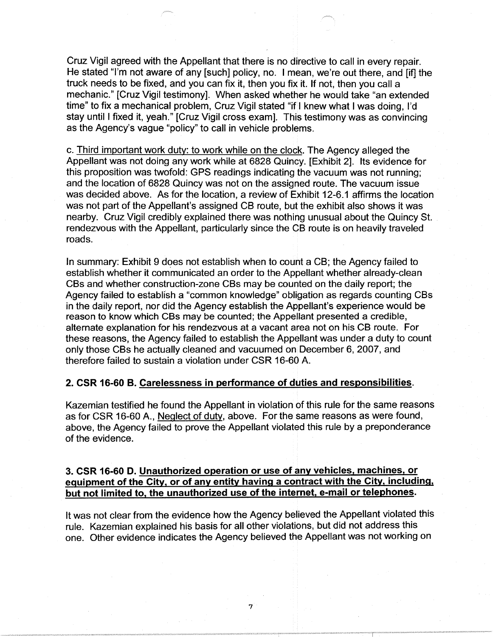Cruz Vigil agreed with the Appellant that there is no directive to call in every repair. He stated "I'm not aware of any [such] policy, no. I mean, we're out there, and [if] the truck needs to be fixed, and you can fix it, then you fix it. If not, then you call a mechanic." [Cruz Vigil testimony]. When asked whether he would take "an extended time" to fix a mechanical problem, Cruz Vigil stated "if I knew what I was doing, I'd stay until I fixed it, yeah." [Cruz Vigil cross exam]. This testimony was as convincing as the Agency's vague "policy" to call in vehicle problems.

c. Third important work duty: to work while on the clock. The Agency alleged the Appellant was not doing any work while at 6828 Quincy. [Exhibit 2]. Its evidence for this proposition was twofold: GPS readings indicating the vacuum was not running; and the location of 6828 Quincy was not on the assigned route. The vacuum issue was decided above. As for the location, a review of Exhibit 12-6.1 affirms the location was not part of the Appellant's assigned CB route, but the exhibit also shows it was nearby. Cruz Vigil credibly explained there was nothing unusual about the Quincy St. rendezvous with the Appellant, particularly since the CB route is on heavily traveled roads.

In summary: Exhibit 9 does not establish when to count a CB; the Agency failed to establish whether it communicated an order to the Appellant whether already-clean CBs and whether construction-zone CBs may be counted on the daily report; the Agency failed to establish a "common knowledge" obligation as regards counting CBs in the daily report, nor did the Agency establish the Appellant's experience would be reason to know which CBs may be counted; the Appellant presented a credible, alternate explanation for his rendezvous at a vacant area not on his CB route. For these reasons, the Agency failed to establish the Appellant was under a duty to count only those CBs he actually cleaned and vacuumed on December 6, 2007, and therefore failed to sustain a violation under CSR 16-60 A.

# **2. CSR 16-60 B. Carelessness in performance of duties and responsibilities.**

Kazemian testified he found the Appellant in violation of this rule for the same reasons as for CSR 16-60 A., Neglect of duty, above. For the same reasons as were found, above, the Agency failed to prove the Appellant violated this rule by a preponderance of the evidence.

# **3. CSR 16-60 D. Unauthorized operation or use of any vehicles, machines, or equipment of the City, or of any entity having a contract with the City, including, but not limited to, the unauthorized use of the internet, e-mail or telephones.**

It was not clear from the evidence how the Agency believed the Appellant violated this rule. Kazemian explained his basis for all other violations, but did not address this one. Other evidence indicates the Agency believed the Appellant was not working on

7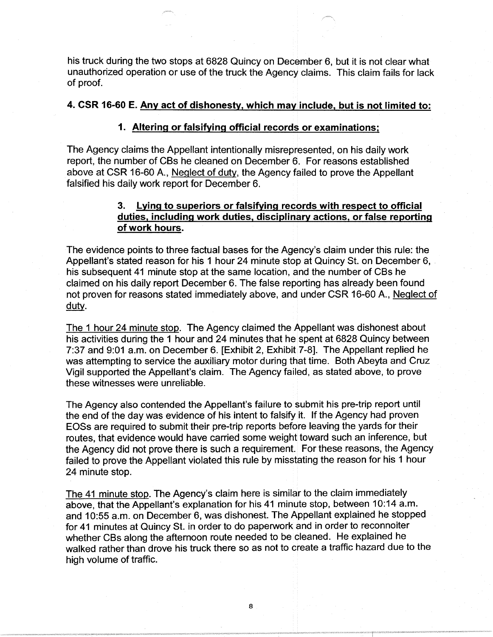his truck during the two stops at 6828 Quincy on December 6, but it is not clear what unauthorized operation or use of the truck the Agency claims. This claim fails for lack of proof.

## **4. CSR 16-60 E. Any act of dishonesty, which may include, but is not limited to:**

### **1. Altering or falsifying official records or examinations;**

The Agency claims the Appellant intentionally misrepresented, on his daily work report, the number of CBs he cleaned on December 6. For reasons established above at CSR 16-60 A., Neglect of duty. the Agency failed to prove the Appellant falsified his daily work report for December 6.

# **3. Lying to superiors or falsifying records with respect to official duties, including work duties, disciplinary actions, or false reporting of work hours.**

The evidence points to three factual bases for the Agency's claim under this rule: the Appellant's stated reason for his 1 hour 24 minute stop at Quincy St. on December 6, his subsequent 41 minute stop at the same location, and the number of CBs he claimed on his daily report December 6. The false reporting has already been found not proven for reasons stated immediately above, and under CSR 16-60 A., Neglect of duty.

The 1 hour 24 minute stop. The Agency claimed the Appellant was dishonest about his activities during the 1 hour and 24 minutes that he spent at 6828 Quincy between 7:37 and 9:01 a.m. on December 6. [Exhibit 2, Exhibit 7-8]. The Appellant replied he was attempting to service the auxiliary motor during that time. Both Abeyta and Cruz Vigil supported the Appellant's claim. The Agency failed, as stated above, to prove these witnesses were unreliable.

The Agency also contended the Appellant's failure to submit his pre-trip report until the end of the day was evidence of his intent to falsify it. If the Agency had proven EOSs are required to submit their pre-trip reports before leaving the yards for their routes, that evidence would have carried some weight toward such an inference, but the Agency did not prove there is such a requirement. For these reasons, the Agency failed to prove the Appellant violated this rule by misstating the reason for his 1 hour 24 minute stop.

The 41 minute stop. The Agency's claim here is similar to the claim immediately above, that the Appellant's explanation for his 41 minute stop, between 10:14 a.m. and 10:55 a.m. on December 6, was dishonest. The Appellant explained he stopped for 41 minutes at Quincy St. in order to do paperwork and in order to reconnoiter whether CBs along the afternoon route needed to be cleaned. He explained he walked rather than drove his truck there so as not to create a traffic hazard due to the high volume of traffic.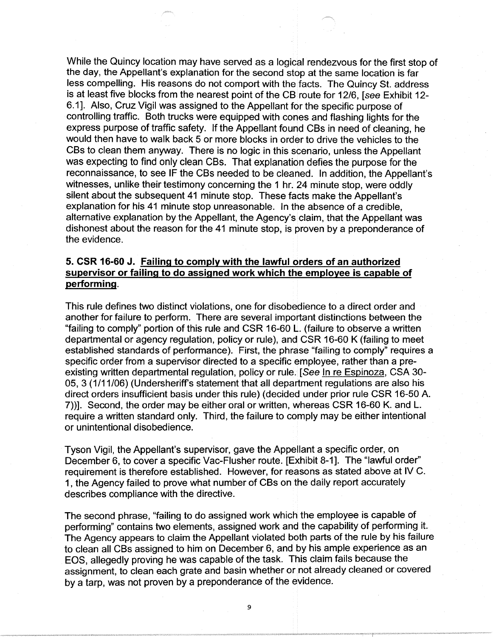While the Quincy location may have served as a logical rendezvous for the first stop of the day, the Appellant's explanation for the second stop at the same location is far less compelling. His reasons do not comport with the facts. The Quincy St. address is at least five blocks from the nearest point of the CB route for 12/6, [see Exhibit 12-6.1]. Also, Cruz Vigil was assigned to the Appellant for the specific purpose of controlling traffic. Both trucks were equipped with cones and flashing lights for the express purpose of traffic safety. If the Appellant found CBs in need of cleaning, he would then have to walk back 5 or more blocks in order to drive the vehicles to the CBs to clean them anyway. There is no logic in this scenario, unless the Appellant was expecting to find only clean CBs. That explanation defies the purpose for the reconnaissance, to see IF the CBs needed to be cleaned. In addition, the Appellant's witnesses, unlike their testimony concerning the 1 hr. 24 minute stop, were oddly silent about the subsequent 41 minute stop. These facts make the Appellant's explanation for his 41 minute stop unreasonable. In the absence of a credible, alternative explanation by the Appellant, the Agency's claim, that the Appellant was dishonest about the reason for the 41 minute stop, is proven by a preponderance of the evidence.

# **5. CSR 16-60 J. Failing to comply with the lawful orders of an authorized supervisor or failing to do assigned work which the employee is capable of performing.**

This rule defines two distinct violations, one for disobedience to a direct order and another for failure to perform. There are several important distinctions between the "failing to comply" portion of this rule and CSR 16-60 L. (failure to observe a written departmental or agency regulation, policy or rule), and CSR 16-60 K (failing to meet established standards of performance). First, the phrase "failing to comply" requires a specific order from a supervisor directed to a specific employee, rather than a preexisting written departmental regulation, policy or rule. [See In re Espinoza, CSA 30- 05, 3 (1/11/06) (Undersheriff's statement that all department regulations are also his direct orders insufficient basis under this rule) ( decided under prior rule CSR 16-50 A. 7))]. Second, the order may be either oral or written, whereas CSR 16-60 K. and L. require a written standard only. Third, the failure to comply may be either intentional or unintentional disobedience.

Tyson Vigil, the Appellant's supervisor, gave the Appellant a specific order, on December 6, to cover a specific Vac-Flusher route. [Exhibit 8-1]. The "lawful order" requirement is therefore established. However, for reasons as stated above at IV C. 1, the Agency failed to prove what number of CBs on the daily report accurately describes compliance with the directive.

The second phrase, "failing to do assigned work which the employee is capable of performing" contains two elements, assigned work and the capability of performing it. The Agency appears to claim the Appellant violated both parts of the rule by his failure to clean all CBs assigned to him on December 6, and by his ample experience as an EOS, allegedly proving he was capable of the task. This claim fails because the assignment, to clean each grate and basin whether or not already cleaned or covered by a tarp, was not proven by a preponderance of the evidence.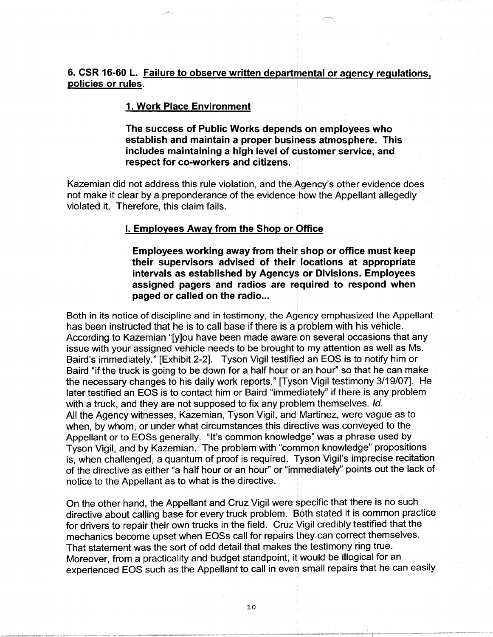# **6. CSR 16-60 L. Failure to observe written departmental or agency regulations, policies or rules.**

### **1. Work Place Environment**

**The success of Public Works depends on employees who establish and maintain a proper business atmosphere. This includes maintaining a high level of customer service, and respect for co-workers and citizens.** 

Kazemian did not address this rule violation, and the Agency's other evidence does not make it clear by a preponderance of the evidence how the Appellant allegedly violated it. Therefore, this claim fails.

## **I. Employees Away from the Shop or Office**

**Employees working away from their shop or office must keep their supervisors advised of their locations at appropriate intervals as established by Agencys or Divisions. Employees assigned pagers and radios are required to respond when paged or called on the radio...** 

Both in its notice of discipline and in testimony, the Agency emphasized the Appellant has been instructed that he is to call base if there is a problem with his vehicle. According to Kazemian "[y]ou have been made aware on several occasions that any issue with your assigned vehicle needs to be brought to my attention as well as Ms. Baird's immediately." [Exhibit 2-2]. Tyson Vigil testified an EOS is to notify him or Baird "if the truck is going to be down for a half hour or an hour" so that he can make the necessary changes to his daily work reports." [Tyson Vigil testimony 3/19/07]. He later testified an EOS is to contact him or Baird "immediately" if there is any problem with a truck, and they are not supposed to fix any problem themselves. Id. All the Agency witnesses, Kazemian, Tyson Vigil, and Martinez, were vague as to when, by whom, or under what circumstances this directive was conveyed to the Appellant or to EOSs generally. "It's common knowledge" was a phrase used by Tyson Vigil, and by Kazemian. The problem with "common knowledge" propositions is, when challenged, a quantum of proof is required. Tyson Vigil's imprecise recitation of the directive as either "a half hour or an hour" or "immediately" points out the lack of notice to the Appellant as to what is the directive.

On the other hand, the Appellant and Cruz Vigil were specific that there is no such directive about calling base for every truck problem. Both stated it is common practice for drivers to repair their own trucks in the field. Cruz Vigil credibly testified that the mechanics become upset when EOSs call for repairs they can correct themselves. That statement was the sort of odd detail that makes the testimony ring true. Moreover, from a practicality and budget standpoint, it would be illogical for an experienced EOS such as the Appellant to call in even small repairs that he can easily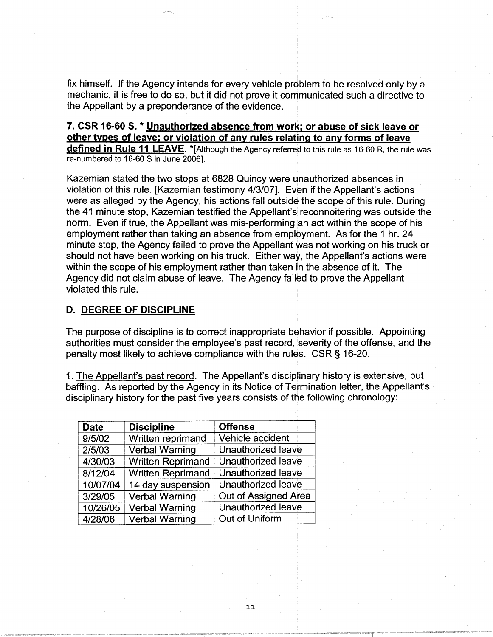fix himself. If the Agency intends for every vehicle problem to be resolved only by a mechanic, it is free to do so, but it did not prove it communicated such a directive to the Appellant by a preponderance of the evidence.

## **7. CSR 16-60 S. \* Unauthorized absence from work; or abuse of sick leave or other types of leave; or violation of any rules relating to any forms of leave defined in Rule 11 LEAVE.** \*[Although the Agency referred to this rule as 16-60 R, the rule was re-numbered to 16-60 S in June 2006].

Kazemian stated the two stops at 6828 Quincy were unauthorized absences in violation of this rule. [Kazemian testimony 4/3/07]. Even if the Appellant's actions were as alleged by the Agency, his actions fall outside the scope of this rule. During the 41 minute stop, Kazemian testified the Appellant's reconnoitering was outside the norm. Even if true, the Appellant was mis-performing an act within the scope of his employment rather than taking an absence from employment. As for the 1 hr. 24 minute stop, the Agency failed to prove the Appellant was not working on his truck or should not have been working on his truck. Either way, the Appellant's actions were within the scope of his employment rather than taken in the absence of it. The Agency did not claim abuse of leave. The Agency failed to prove the Appellant violated this rule.

## **D. DEGREE OF DISCIPLINE**

The purpose of discipline is to correct inappropriate behavior if possible. Appointing authorities must consider the employee's past record, severity of the offense, and the penalty most likely to achieve compliance with the rules. CSR § 16-20.

1. The Appellant's past record. The Appellant's disciplinary history is extensive, but baffling. As reported by the Agency in its Notice of Termination letter, the Appellant's disciplinary history for the past five years consists of the following chronology:

| <b>Date</b> | <b>Discipline</b>        | <b>Offense</b>       |
|-------------|--------------------------|----------------------|
| 9/5/02      | Written reprimand        | Vehicle accident     |
| 2/5/03      | <b>Verbal Warning</b>    | Unauthorized leave   |
| 4/30/03     | <b>Written Reprimand</b> | Unauthorized leave   |
| 8/12/04     | <b>Written Reprimand</b> | Unauthorized leave   |
| 10/07/04    | 14 day suspension        | Unauthorized leave   |
| 3/29/05     | <b>Verbal Warning</b>    | Out of Assigned Area |
| 10/26/05    | <b>Verbal Warning</b>    | Unauthorized leave   |
| 4/28/06     | <b>Verbal Warning</b>    | Out of Uniform       |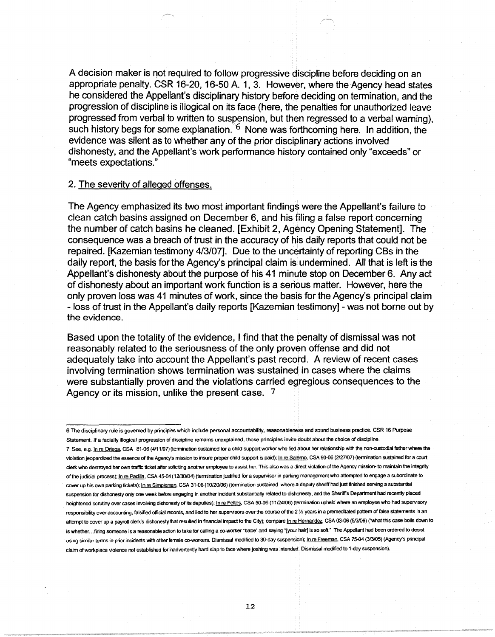A decision maker is not required to follow progressive discipline before deciding on an appropriate penalty. CSR 16-20, 16-50 A. 1, 3. However, where the Agency head states he considered the Appellant's disciplinary history before deciding on termination, and the progression of discipline is illogical on its face (here, the penalties for unauthorized leave progressed from verbal to written to suspension, but then regressed to a verbal warning), such history begs for some explanation.  $6$  None was forthcoming here. In addition, the evidence was silent as to whether any of the prior disciplinary actions involved dishonesty, and the Appellant's work performance history contained only "exceeds" or "meets expectations."

#### 2. The severity of alleged offenses.

The Agency emphasized its two most important findings were the Appellant's failure to clean catch basins assigned on December 6, and his filing a false report concerning the number of catch basins he cleaned. [Exhibit 2, Agency Opening Statement]. The consequence was a breach of trust in the accuracy of his daily reports that could not be repaired. [Kazemian testimony 4/3/07]. Due to the uncertainty of reporting CBs in the daily report, the basis for the Agency's principal claim is undermined. All that is left is the Appellant's dishonesty about the purpose of his 41 minute stop on December 6. Any act of dishonesty about an important work function is a serious matter. However, here the only proven loss was 41 minutes of work, since the basis for the Agency's principal claim - loss of trust in the Appellant's daily reports [Kazemian testimony] - was not borne out by the evidence.

Based upon the totality of the evidence, I find that the penalty of dismissal was not reasonably related to the seriousness of the only proven offense and did not adequately take into account the Appellant's past record. A review of recent cases involving termination shows termination was sustained in cases where the claims were substantially proven and the violations carried egregious consequences to the Agency or its mission, unlike the present case. 7

6 The disciplinary rule is governed by principles which include personal accountability, reasonableness and sound business practice. CSR 16 Purpose Statement. If a facially illogical progression of discipline remains unexplained, those principles invite doubt about the choice of discipline. 7 See, e.g. In re Ortega, CSA 81-06 (4/11/07) (termination sustained for a child support worker who lied about her relationship with the non-custodial father where the violation jeopardized the essence of the Agency's mission to insure proper child support is paid); In re Salemo, CSA 90-06 (2/27/07) (termination sustained for a court clerk who destroyed her own traffic ticket after soliciting another employee to assist her. This also was a direct violation of the Agency mission- to maintain the integrity of the judicial process); In re Padilla, CSA 45-04 (12/30/04) (termination justified for a supervisor in parking management who attempted to engage a subordinate to cover up his own parking tickets); In re Simpleman, CSA 31-06 (10/20/06) (termination sustained where a deputy sheriff had just finished serving a substantial suspension for dishonesty only one week before engaging in another incident substantially related to dishonesty, and the Sheriff's Department had recently placed heightened scrutiny over cases involving dishonesty of its deputies); In re Feltes, CSA 50-06 (11/24/06) (termination upheld where an employee who had supervisory responsibility over accounting, falsified official records, and lied to her supervisors over the course of the 2 ½ years in a premeditated pattern of false statements in an attempt to cover up a payroll clerk's dishonesty that resulted in financial impact to the City); compare In re Hernandez, CSA 03-06 (5/3/06) ("what this case boils down to is whether. .. firing someone is a reasonable action to take for calling a co-worker "babe" and saying "(your hair) is so soft." The Appellant had been ordered to desist using similar terms in prior incidents with other female co-workers. Dismissal modified to 30-day suspension); In re Freeman, CSA 75-04 (3/3/05) (Agency's principal claim of workplace violence not established for inadvertently hard slap to face where joshing was intended. Dismissal modified to 1-day suspension).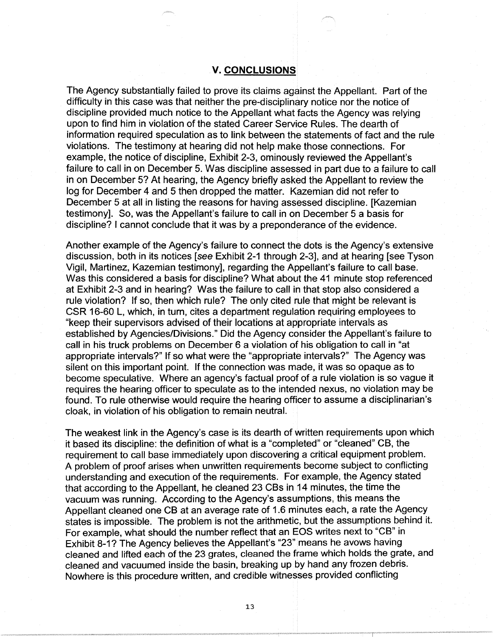### **V. CONCLUSIONS**

The Agency substantially failed to prove its claims against the Appellant. Part of the difficulty in this case was that neither the pre-disciplinary notice nor the notice of discipline provided much notice to the Appellant what facts the Agency was relying upon to find him in violation of the stated Career Service Rules. The dearth of information required speculation as to link between the statements of fact and the rule violations. The testimony at hearing did not help make those connections. For example, the notice of discipline, Exhibit 2-3, ominously reviewed the Appellant's failure to call in on December 5. Was discipline assessed in part due to a failure to call in on December 5? At hearing, the Agency briefly asked the Appellant to review the log for December 4 and 5 then dropped the matter. Kazemian did not refer to December 5 at all in listing the reasons for having assessed discipline. [Kazemian testimony]. So, was the Appellant's failure to call in on December 5 a basis for discipline? I cannot conclude that it was by a preponderance of the evidence.

Another example of the Agency's failure to connect the dots is the Agency's extensive discussion, both in its notices [see Exhibit 2-1 through 2-3], and at hearing [see Tyson Vigil, Martinez, Kazemian testimony], regarding the Appellant's failure to call base. Was this considered a basis for discipline? What about the 41 minute stop referenced at Exhibit 2-3 and in hearing? Was the failure to call in that stop also considered a rule violation? If so, then which rule? The only cited rule that might be relevant is CSR 16-60 L, which, in turn, cites a department regulation requiring employees to "keep their supervisors advised of their locations at appropriate intervals as established by Agencies/Divisions." Did the Agency consider the Appellant's failure to call in his truck problems on December 6 a violation of his obligation to call in "at appropriate intervals?" If so what were the "appropriate intervals?" The Agency was silent on this important point. If the connection was made, it was so opaque as to become speculative. Where an agency's factual proof of a rule violation is so vague it requires the hearing officer to speculate as to the intended nexus, no violation may be found. To rule otherwise would require the hearing officer to assume a disciplinarian's cloak, in violation of his obligation to remain neutral.

The weakest link in the Agency's case is its dearth of written requirements upon which it based its discipline: the definition of what is a "completed" or "cleaned" CB, the requirement to call base immediately upon discovering a critical equipment problem. A problem of proof arises when unwritten requirements become subject to conflicting understanding and execution of the requirements. For example, the Agency stated that according to the Appellant, he cleaned 23 CBs in 14 minutes, the time the vacuum was running. According to the Agency's assumptions, this means the Appellant cleaned one CB at an average rate of 1.6 minutes each, a rate the Agency states is impossible. The problem is not the arithmetic, but the assumptions behind it. For example, what should the number reflect that an EOS writes next to "CB" in Exhibit 8-1? The Agency believes the Appellant's "23" means he avows having cleaned and lifted each of the 23 grates, cleaned the frame which holds the grate, and cleaned and vacuumed inside the basin, breaking up by hand any frozen debris. Nowhere is this procedure written, and credible witnesses provided conflicting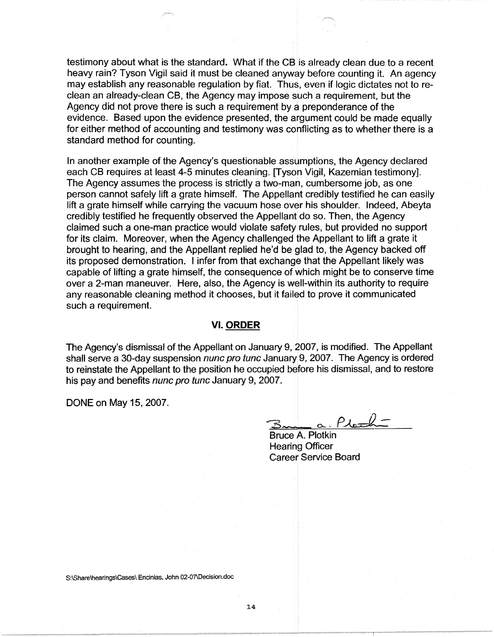testimony about what is the standard. What if the CB is already clean due to a recent heavy rain? Tyson Vigil said it must be cleaned anyway before counting it. An agency may establish any reasonable regulation by fiat. Thus, even if logic dictates not to reclean an already-clean CB, the Agency may impose such a requirement, but the Agency did not prove there is such a requirement by a preponderance of the evidence. Based upon the evidence presented, the argument could be made equally for either method of accounting and testimony was conflicting as to whether there is a standard method for counting.

In another example of the Agency's questionable assumptions, the Agency declared each CB requires at least 4-5 minutes cleaning. [Tyson Vigil, Kazemian testimony]. The Agency assumes the process is strictly a two-man, cumbersome job, as one person cannot safely lift a grate himself. The Appellant credibly testified he can easily lift a grate himself while carrying the vacuum hose over his shoulder. Indeed, Abeyta credibly testified he frequently observed the Appellant do so. Then, the Agency claimed such a one-man practice would violate safety rules, but provided no support for its claim. Moreover, when the Agency challenged the Appellant to lift a grate it brought to hearing, and the Appellant replied he'd be glad to, the Agency backed off its proposed demonstration. I infer from that exchange that the Appellant likely was capable of lifting a grate himself, the consequence of which might be to conserve time over a 2-man maneuver. Here, also, the Agency is well-within its authority to require any reasonable cleaning method it chooses, but it failed to prove it communicated such a requirement.

#### **VI. ORDER**

The Agency's dismissal of the Appellant on January 9, 2007, is modified. The Appellant shall serve a 30-day suspension nunc pro tunc January 9, 2007. The Agency is ordered to reinstate the Appellant to the position he occupied before his dismissal, and to restore his pay and benefits nunc pro tunc January 9, 2007.

DONE on May 15, 2007.

<u>a. Plash-</u>

Bruce A. Plotkin Hearing Officer Career Service Board

S:\Share\hearings\Cases\ Encinias, John 02-07\Decision.doc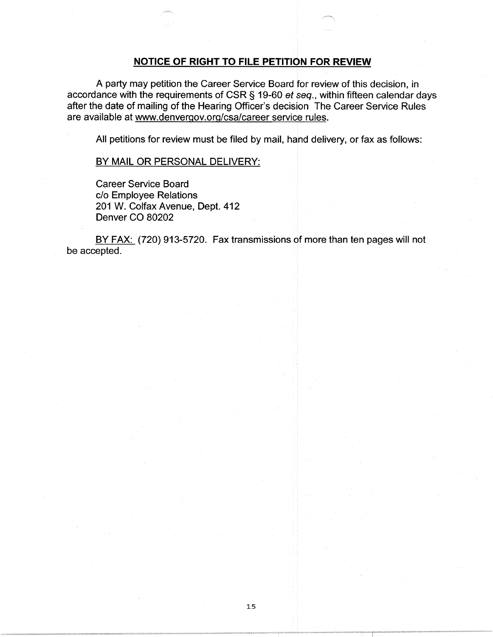# **NOTICE OF RIGHT TO FILE PETITION FOR REVIEW**

A party may petition the Career Service Board for review of this decision, in accordance with the requirements of CSR§ 19-60 et seq., within fifteen calendar days after the date of mailing of the Hearing Officer's decision The Career Service Rules are available at www.denvergov.org/csa/career service rules.

All petitions for review must be filed by mail, hand delivery, or fax as follows:

### BY MAIL OR PERSONAL DELIVERY:

Career Service Board c/o Employee Relations 201 W. Colfax Avenue, Dept. 412 Denver CO 80202

BY FAX: (720) 913-5720. Fax transmissions of more than ten pages will not be accepted.